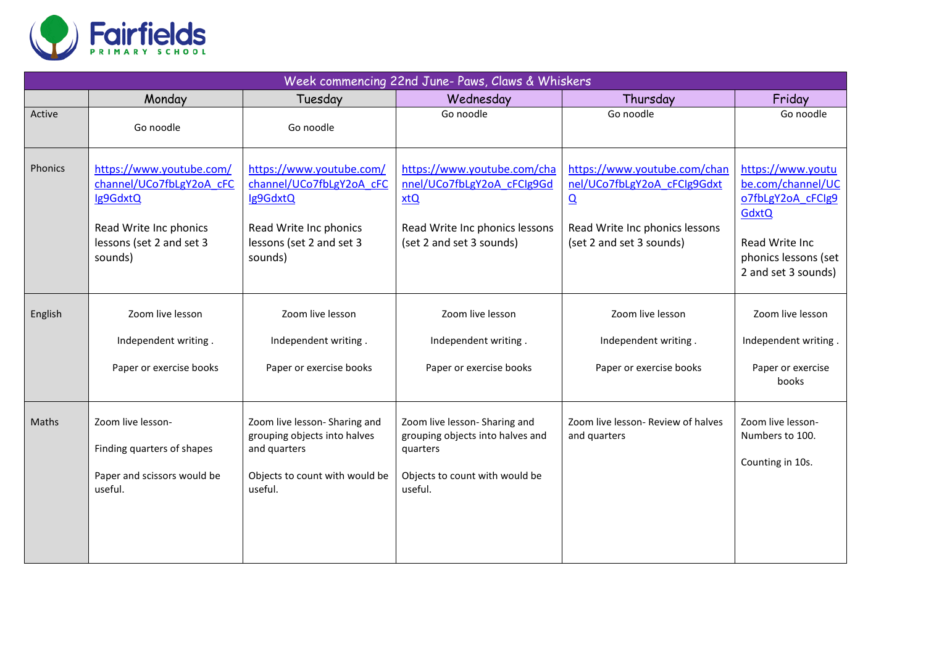

| Week commencing 22nd June-Paws, Claws & Whiskers |                                                                                                                                   |                                                                                                                                   |                                                                                                                                |                                                                                                                                                      |                                                                                                                                              |  |  |
|--------------------------------------------------|-----------------------------------------------------------------------------------------------------------------------------------|-----------------------------------------------------------------------------------------------------------------------------------|--------------------------------------------------------------------------------------------------------------------------------|------------------------------------------------------------------------------------------------------------------------------------------------------|----------------------------------------------------------------------------------------------------------------------------------------------|--|--|
|                                                  | Monday                                                                                                                            | Tuesday                                                                                                                           | Wednesday                                                                                                                      | Thursday                                                                                                                                             | Friday                                                                                                                                       |  |  |
| Active                                           | Go noodle                                                                                                                         | Go noodle                                                                                                                         | Go noodle                                                                                                                      | Go noodle                                                                                                                                            | Go noodle                                                                                                                                    |  |  |
| Phonics                                          | https://www.youtube.com/<br>channel/UCo7fbLgY2oA cFC<br>Ig9GdxtQ<br>Read Write Inc phonics<br>lessons (set 2 and set 3<br>sounds) | https://www.youtube.com/<br>channel/UCo7fbLgY2oA cFC<br>Ig9GdxtQ<br>Read Write Inc phonics<br>lessons (set 2 and set 3<br>sounds) | https://www.youtube.com/cha<br>nnel/UCo7fbLgY2oA cFClg9Gd<br>xtQ<br>Read Write Inc phonics lessons<br>(set 2 and set 3 sounds) | https://www.youtube.com/chan<br>nel/UCo7fbLgY2oA cFClg9Gdxt<br>$\overline{\mathsf{Q}}$<br>Read Write Inc phonics lessons<br>(set 2 and set 3 sounds) | https://www.youtu<br>be.com/channel/UC<br>o7fbLgY2oA cFClg9<br><b>GdxtQ</b><br>Read Write Inc<br>phonics lessons (set<br>2 and set 3 sounds) |  |  |
| English                                          | Zoom live lesson<br>Independent writing.<br>Paper or exercise books                                                               | Zoom live lesson<br>Independent writing.<br>Paper or exercise books                                                               | Zoom live lesson<br>Independent writing.<br>Paper or exercise books                                                            | Zoom live lesson<br>Independent writing.<br>Paper or exercise books                                                                                  | Zoom live lesson<br>Independent writing.<br>Paper or exercise<br>books                                                                       |  |  |
| <b>Maths</b>                                     | Zoom live lesson-<br>Finding quarters of shapes<br>Paper and scissors would be<br>useful.                                         | Zoom live lesson- Sharing and<br>grouping objects into halves<br>and quarters<br>Objects to count with would be<br>useful.        | Zoom live lesson- Sharing and<br>grouping objects into halves and<br>quarters<br>Objects to count with would be<br>useful.     | Zoom live lesson- Review of halves<br>and quarters                                                                                                   | Zoom live lesson-<br>Numbers to 100.<br>Counting in 10s.                                                                                     |  |  |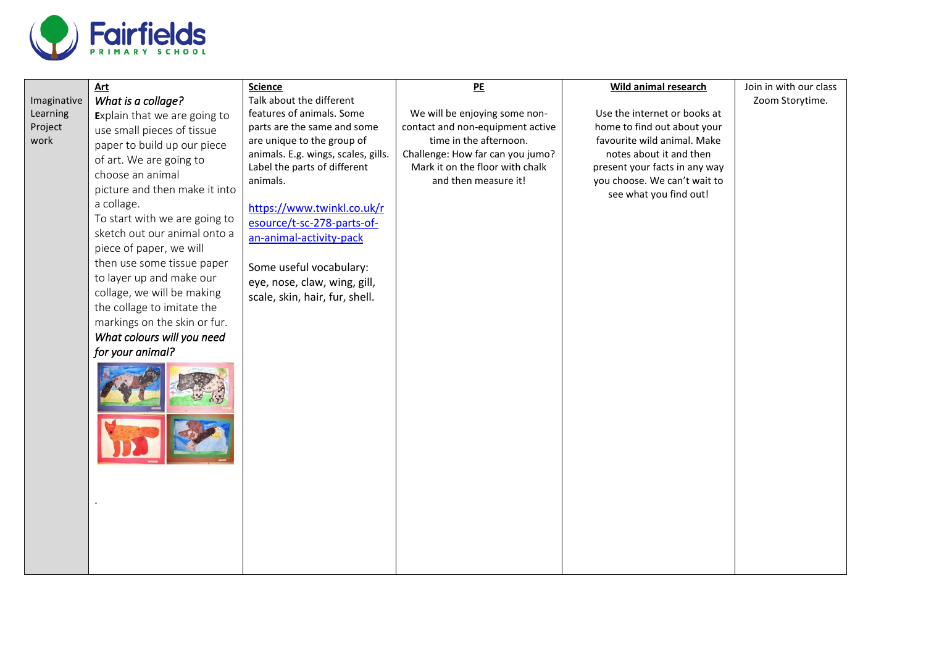

|             | <u>Art</u>                    | <b>Science</b>                      | P <sub>E</sub>                   | Wild animal research          | Join in with our class |
|-------------|-------------------------------|-------------------------------------|----------------------------------|-------------------------------|------------------------|
| Imaginative | What is a collage?            | Talk about the different            |                                  |                               | Zoom Storytime.        |
| Learning    | Explain that we are going to  | features of animals. Some           | We will be enjoying some non-    | Use the internet or books at  |                        |
| Project     | use small pieces of tissue    | parts are the same and some         | contact and non-equipment active | home to find out about your   |                        |
| work        | paper to build up our piece   | are unique to the group of          | time in the afternoon.           | favourite wild animal. Make   |                        |
|             | of art. We are going to       | animals. E.g. wings, scales, gills. | Challenge: How far can you jumo? | notes about it and then       |                        |
|             | choose an animal              | Label the parts of different        | Mark it on the floor with chalk  | present your facts in any way |                        |
|             | picture and then make it into | animals.                            | and then measure it!             | you choose. We can't wait to  |                        |
|             | a collage.                    |                                     |                                  | see what you find out!        |                        |
|             | To start with we are going to | https://www.twinkl.co.uk/r          |                                  |                               |                        |
|             | sketch out our animal onto a  | esource/t-sc-278-parts-of-          |                                  |                               |                        |
|             |                               | an-animal-activity-pack             |                                  |                               |                        |
|             | piece of paper, we will       |                                     |                                  |                               |                        |
|             | then use some tissue paper    | Some useful vocabulary:             |                                  |                               |                        |
|             | to layer up and make our      | eye, nose, claw, wing, gill,        |                                  |                               |                        |
|             | collage, we will be making    | scale, skin, hair, fur, shell.      |                                  |                               |                        |
|             | the collage to imitate the    |                                     |                                  |                               |                        |
|             | markings on the skin or fur.  |                                     |                                  |                               |                        |
|             | What colours will you need    |                                     |                                  |                               |                        |
|             | for your animal?              |                                     |                                  |                               |                        |
|             |                               |                                     |                                  |                               |                        |